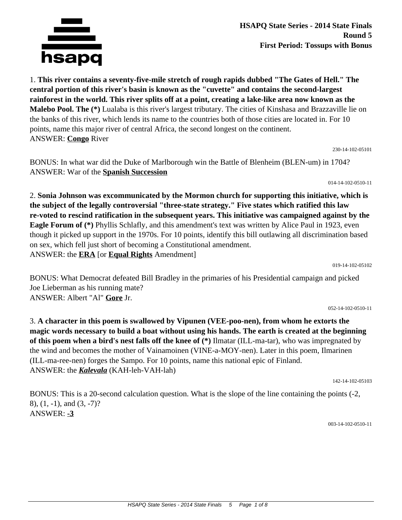

**HSAPQ State Series - 2014 State Finals Round 5 First Period: Tossups with Bonus**

1. **This river contains a seventy-five-mile stretch of rough rapids dubbed "The Gates of Hell." The central portion of this river's basin is known as the "cuvette" and contains the second-largest rainforest in the world. This river splits off at a point, creating a lake-like area now known as the Malebo Pool. The (\*)** Lualaba is this river's largest tributary. The cities of Kinshasa and Brazzaville lie on the banks of this river, which lends its name to the countries both of those cities are located in. For 10 points, name this major river of central Africa, the second longest on the continent. ANSWER: **Congo** River

230-14-102-05101

BONUS: In what war did the Duke of Marlborough win the Battle of Blenheim (BLEN-um) in 1704? ANSWER: War of the **Spanish Succession**

014-14-102-0510-11

2. **Sonia Johnson was excommunicated by the Mormon church for supporting this initiative, which is the subject of the legally controversial "three-state strategy." Five states which ratified this law re-voted to rescind ratification in the subsequent years. This initiative was campaigned against by the Eagle Forum of (\*)** Phyllis Schlafly, and this amendment's text was written by Alice Paul in 1923, even though it picked up support in the 1970s. For 10 points, identify this bill outlawing all discrimination based on sex, which fell just short of becoming a Constitutional amendment. ANSWER: the **ERA** [or **Equal Rights** Amendment]

019-14-102-05102

BONUS: What Democrat defeated Bill Bradley in the primaries of his Presidential campaign and picked Joe Lieberman as his running mate? ANSWER: Albert "Al" **Gore** Jr.

052-14-102-0510-11

3. **A character in this poem is swallowed by Vipunen (VEE-poo-nen), from whom he extorts the magic words necessary to build a boat without using his hands. The earth is created at the beginning of this poem when a bird's nest falls off the knee of (\*)** Ilmatar (ILL-ma-tar), who was impregnated by the wind and becomes the mother of Vainamoinen (VINE-a-MOY-nen). Later in this poem, Ilmarinen (ILL-ma-ree-nen) forges the Sampo. For 10 points, name this national epic of Finland. ANSWER: the *Kalevala* (KAH-leh-VAH-lah)

142-14-102-05103

BONUS: This is a 20-second calculation question. What is the slope of the line containing the points (-2, 8), (1, -1), and (3, -7)? ANSWER: **-3**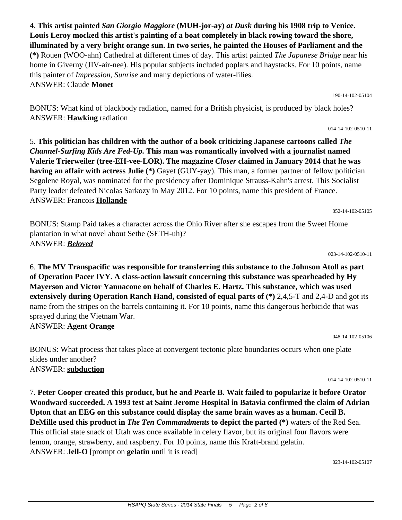4. **This artist painted** *San Giorgio Maggiore* **(MUH-jor-ay)** *at Dusk* **during his 1908 trip to Venice. Louis Leroy mocked this artist's painting of a boat completely in black rowing toward the shore, illuminated by a very bright orange sun. In two series, he painted the Houses of Parliament and the (\*)** Rouen (WOO-ahn) Cathedral at different times of day. This artist painted *The Japanese Bridge* near his home in Giverny (JIV-air-nee). His popular subjects included poplars and haystacks. For 10 points, name this painter of *Impression, Sunrise* and many depictions of water-lilies. ANSWER: Claude **Monet**

BONUS: What kind of blackbody radiation, named for a British physicist, is produced by black holes? ANSWER: **Hawking** radiation

5. **This politician has children with the author of a book criticizing Japanese cartoons called** *The Channel-Surfing Kids Are Fed-Up.* **This man was romantically involved with a journalist named Valerie Trierweiler (tree-EH-vee-LOR). The magazine** *Closer* **claimed in January 2014 that he was having an affair with actress Julie (\*)** Gayet (GUY-yay). This man, a former partner of fellow politician Segolene Royal, was nominated for the presidency after Dominique Strauss-Kahn's arrest. This Socialist Party leader defeated Nicolas Sarkozy in May 2012. For 10 points, name this president of France. ANSWER: Francois **Hollande**

BONUS: Stamp Paid takes a character across the Ohio River after she escapes from the Sweet Home plantation in what novel about Sethe (SETH-uh)? ANSWER: *Beloved*

6. **The MV Transpacific was responsible for transferring this substance to the Johnson Atoll as part of Operation Pacer IVY. A class-action lawsuit concerning this substance was spearheaded by Hy Mayerson and Victor Yannacone on behalf of Charles E. Hartz. This substance, which was used extensively during Operation Ranch Hand, consisted of equal parts of (\*)** 2,4,5-T and 2,4-D and got its name from the stripes on the barrels containing it. For 10 points, name this dangerous herbicide that was sprayed during the Vietnam War. ANSWER: **Agent Orange**

BONUS: What process that takes place at convergent tectonic plate boundaries occurs when one plate slides under another? ANSWER: **subduction**

7. **Peter Cooper created this product, but he and Pearle B. Wait failed to popularize it before Orator Woodward succeeded. A 1993 test at Saint Jerome Hospital in Batavia confirmed the claim of Adrian Upton that an EEG on this substance could display the same brain waves as a human. Cecil B. DeMille used this product in** *The Ten Commandments* **to depict the parted (\*)** waters of the Red Sea. This official state snack of Utah was once available in celery flavor, but its original four flavors were lemon, orange, strawberry, and raspberry. For 10 points, name this Kraft-brand gelatin. ANSWER: **Jell-O** [prompt on **gelatin** until it is read]

023-14-102-05107

023-14-102-0510-11

052-14-102-05105

014-14-102-0510-11

190-14-102-05104

048-14-102-05106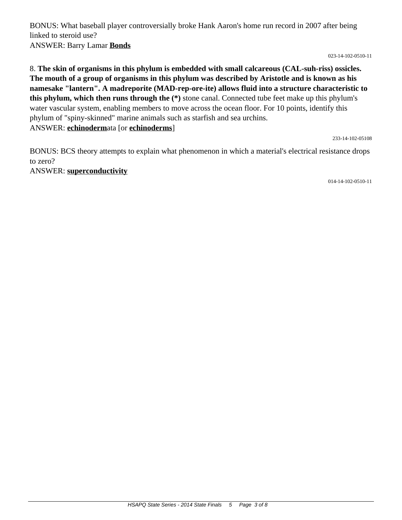BONUS: What baseball player controversially broke Hank Aaron's home run record in 2007 after being linked to steroid use? ANSWER: Barry Lamar **Bonds**

023-14-102-0510-11

8. **The skin of organisms in this phylum is embedded with small calcareous (CAL-suh-riss) ossicles. The mouth of a group of organisms in this phylum was described by Aristotle and is known as his namesake "lantern". A madreporite (MAD-rep-ore-ite) allows fluid into a structure characteristic to this phylum, which then runs through the (\*)** stone canal. Connected tube feet make up this phylum's water vascular system, enabling members to move across the ocean floor. For 10 points, identify this phylum of "spiny-skinned" marine animals such as starfish and sea urchins. ANSWER: **echinoderm**ata [or **echinoderms**]

233-14-102-05108

BONUS: BCS theory attempts to explain what phenomenon in which a material's electrical resistance drops to zero?

ANSWER: **superconductivity**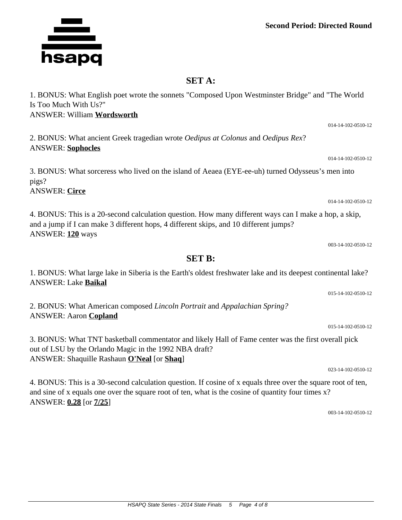**Second Period: Directed Round**

014-14-102-0510-12

014-14-102-0510-12

003-14-102-0510-12

015-14-102-0510-12

015-14-102-0510-12

023-14-102-0510-12

## **SET A:**

1. BONUS: What English poet wrote the sonnets "Composed Upon Westminster Bridge" and "The World Is Too Much With Us?" ANSWER: William **Wordsworth**

2. BONUS: What ancient Greek tragedian wrote *Oedipus at Colonus* and *Oedipus Rex*? ANSWER: **Sophocles**

3. BONUS: What sorceress who lived on the island of Aeaea (EYE-ee-uh) turned Odysseus's men into pigs? ANSWER: **Circe**

4. BONUS: This is a 20-second calculation question. How many different ways can I make a hop, a skip, and a jump if I can make 3 different hops, 4 different skips, and 10 different jumps? ANSWER: **120** ways

**SET B:** 1. BONUS: What large lake in Siberia is the Earth's oldest freshwater lake and its deepest continental lake?

2. BONUS: What American composed *Lincoln Portrait* and *Appalachian Spring?* ANSWER: Aaron **Copland**

3. BONUS: What TNT basketball commentator and likely Hall of Fame center was the first overall pick out of LSU by the Orlando Magic in the 1992 NBA draft? ANSWER: Shaquille Rashaun **O'Neal** [or **Shaq**]

4. BONUS: This is a 30-second calculation question. If cosine of x equals three over the square root of ten, and sine of x equals one over the square root of ten, what is the cosine of quantity four times x? ANSWER: **0.28** [or **7/25**]

003-14-102-0510-12



ANSWER: Lake **Baikal**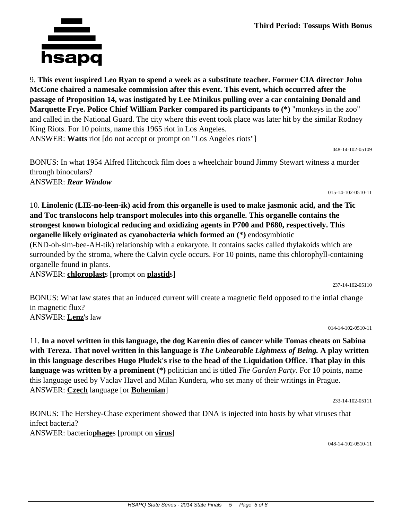9. **This event inspired Leo Ryan to spend a week as a substitute teacher. Former CIA director John McCone chaired a namesake commission after this event. This event, which occurred after the passage of Proposition 14, was instigated by Lee Minikus pulling over a car containing Donald and Marquette Frye. Police Chief William Parker compared its participants to (\*)** "monkeys in the zoo" and called in the National Guard. The city where this event took place was later hit by the similar Rodney King Riots. For 10 points, name this 1965 riot in Los Angeles. ANSWER: **Watts** riot [do not accept or prompt on "Los Angeles riots"]

BONUS: In what 1954 Alfred Hitchcock film does a wheelchair bound Jimmy Stewart witness a murder through binoculars? ANSWER: *Rear Window*

10. **Linolenic (LIE-no-leen-ik) acid from this organelle is used to make jasmonic acid, and the Tic and Toc translocons help transport molecules into this organelle. This organelle contains the strongest known biological reducing and oxidizing agents in P700 and P680, respectively. This organelle likely originated as cyanobacteria which formed an (\*)** endosymbiotic

(END-oh-sim-bee-AH-tik) relationship with a eukaryote. It contains sacks called thylakoids which are surrounded by the stroma, where the Calvin cycle occurs. For 10 points, name this chlorophyll-containing organelle found in plants.

ANSWER: **chloroplast**s [prompt on **plastid**s]

BONUS: What law states that an induced current will create a magnetic field opposed to the intial change in magnetic flux? ANSWER: **Lenz**'s law

014-14-102-0510-11

237-14-102-05110

11. **In a novel written in this language, the dog Karenin dies of cancer while Tomas cheats on Sabina with Tereza. That novel written in this language is** *The Unbearable Lightness of Being.* **A play written in this language describes Hugo Pludek's rise to the head of the Liquidation Office. That play in this language was written by a prominent (\*)** politician and is titled *The Garden Party.* For 10 points, name this language used by Vaclav Havel and Milan Kundera, who set many of their writings in Prague. ANSWER: **Czech** language [or **Bohemian**]

233-14-102-05111

BONUS: The Hershey-Chase experiment showed that DNA is injected into hosts by what viruses that infect bacteria? ANSWER: bacterio**phage**s [prompt on **virus**]

048-14-102-0510-11



048-14-102-05109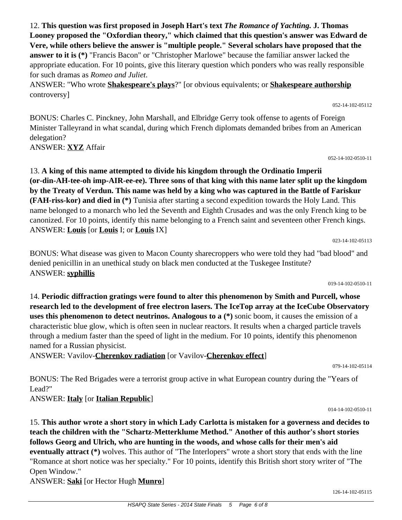12. **This question was first proposed in Joseph Hart's text** *The Romance of Yachting.* **J. Thomas Looney proposed the "Oxfordian theory," which claimed that this question's answer was Edward de Vere, while others believe the answer is "multiple people." Several scholars have proposed that the answer to it is (\*)** "Francis Bacon" or "Christopher Marlowe" because the familiar answer lacked the appropriate education. For 10 points, give this literary question which ponders who was really responsible for such dramas as *Romeo and Juliet*.

ANSWER: "Who wrote **Shakespeare's plays**?" [or obvious equivalents; or **Shakespeare authorship** controversy]

BONUS: Charles C. Pinckney, John Marshall, and Elbridge Gerry took offense to agents of Foreign Minister Talleyrand in what scandal, during which French diplomats demanded bribes from an American delegation?

ANSWER: **XYZ** Affair

13. **A king of this name attempted to divide his kingdom through the Ordinatio Imperii (or-din-AH-tee-oh imp-AIR-ee-ee). Three sons of that king with this name later split up the kingdom by the Treaty of Verdun. This name was held by a king who was captured in the Battle of Fariskur (FAH-riss-kor) and died in (\*)** Tunisia after starting a second expedition towards the Holy Land. This name belonged to a monarch who led the Seventh and Eighth Crusades and was the only French king to be canonized. For 10 points, identify this name belonging to a French saint and seventeen other French kings. ANSWER: **Louis** [or **Louis** I; or **Louis** IX]

023-14-102-05113

BONUS: What disease was given to Macon County sharecroppers who were told they had "bad blood" and denied penicillin in an unethical study on black men conducted at the Tuskegee Institute? ANSWER: **syphillis**

14. **Periodic diffraction gratings were found to alter this phenomenon by Smith and Purcell, whose research led to the development of free electron lasers. The IceTop array at the IceCube Observatory uses this phenomenon to detect neutrinos. Analogous to a (\*)** sonic boom, it causes the emission of a characteristic blue glow, which is often seen in nuclear reactors. It results when a charged particle travels through a medium faster than the speed of light in the medium. For 10 points, identify this phenomenon named for a Russian physicist.

ANSWER: Vavilov-**Cherenkov radiation** [or Vavilov-**Cherenkov effect**]

BONUS: The Red Brigades were a terrorist group active in what European country during the "Years of Lead?"

ANSWER: **Italy** [or **Italian Republic**]

15. **This author wrote a short story in which Lady Carlotta is mistaken for a governess and decides to teach the children with the "Schartz-Metterklume Method." Another of this author's short stories follows Georg and Ulrich, who are hunting in the woods, and whose calls for their men's aid eventually attract (\*)** wolves. This author of "The Interlopers" wrote a short story that ends with the line "Romance at short notice was her specialty." For 10 points, identify this British short story writer of "The Open Window."

ANSWER: **Saki** [or Hector Hugh **Munro**]

079-14-102-05114

014-14-102-0510-11

019-14-102-0510-11

052-14-102-05112

052-14-102-0510-11

126-14-102-05115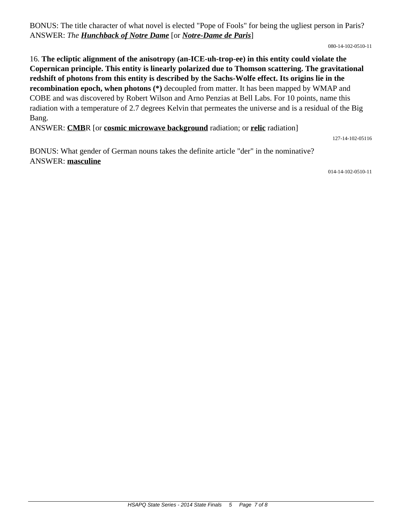BONUS: The title character of what novel is elected "Pope of Fools" for being the ugliest person in Paris? ANSWER: *The Hunchback of Notre Dame* [or *Notre-Dame de Paris*]

080-14-102-0510-11

16. **The ecliptic alignment of the anisotropy (an-ICE-uh-trop-ee) in this entity could violate the Copernican principle. This entity is linearly polarized due to Thomson scattering. The gravitational redshift of photons from this entity is described by the Sachs-Wolfe effect. Its origins lie in the recombination epoch, when photons (\*)** decoupled from matter. It has been mapped by WMAP and COBE and was discovered by Robert Wilson and Arno Penzias at Bell Labs. For 10 points, name this radiation with a temperature of 2.7 degrees Kelvin that permeates the universe and is a residual of the Big Bang.

ANSWER: **CMB**R [or **cosmic microwave background** radiation; or **relic** radiation]

127-14-102-05116

BONUS: What gender of German nouns takes the definite article "der" in the nominative? ANSWER: **masculine**